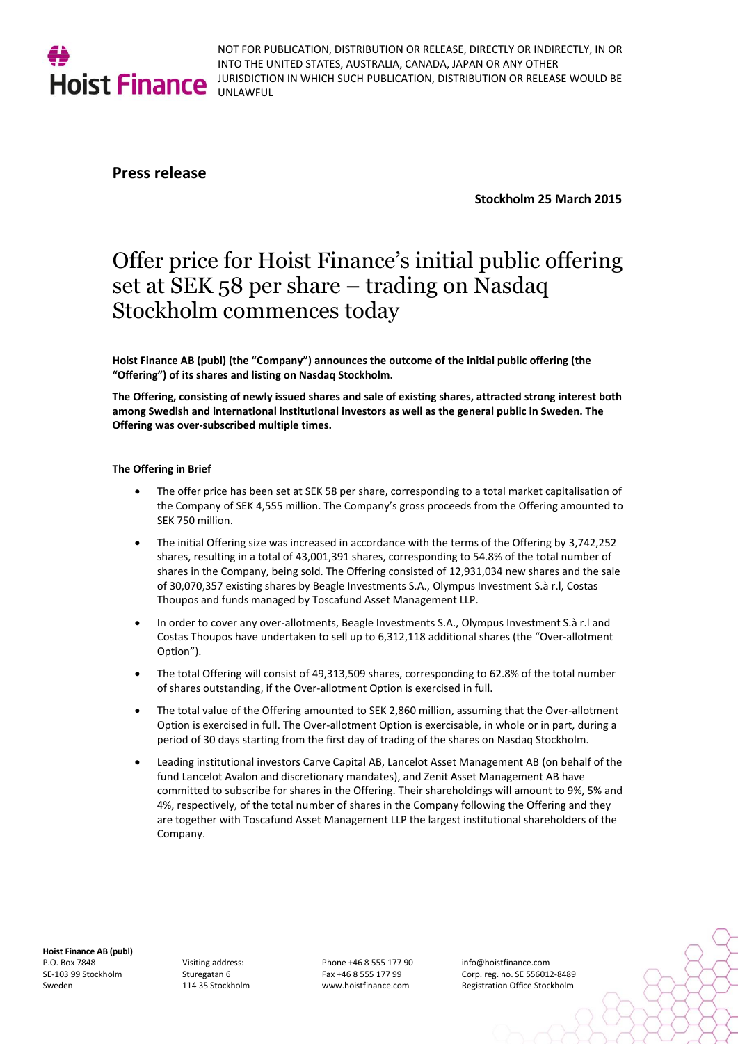

NOT FOR PUBLICATION, DISTRIBUTION OR RELEASE, DIRECTLY OR INDIRECTLY, IN OR INTO THE UNITED STATES, AUSTRALIA, CANADA, JAPAN OR ANY OTHER JURISDICTION IN WHICH SUCH PUBLICATION, DISTRIBUTION OR RELEASE WOULD BE UNLAWFUL

## **Press release**

**Stockholm 25 March 2015**

# Offer price for Hoist Finance's initial public offering set at SEK 58 per share – trading on Nasdaq Stockholm commences today

**Hoist Finance AB (publ) (the "Company") announces the outcome of the initial public offering (the "Offering") of its shares and listing on Nasdaq Stockholm.**

**The Offering, consisting of newly issued shares and sale of existing shares, attracted strong interest both among Swedish and international institutional investors as well as the general public in Sweden. The Offering was over-subscribed multiple times.**

### **The Offering in Brief**

- The offer price has been set at SEK 58 per share, corresponding to a total market capitalisation of the Company of SEK 4,555 million. The Company's gross proceeds from the Offering amounted to SEK 750 million.
- The initial Offering size was increased in accordance with the terms of the Offering by 3,742,252 shares, resulting in a total of 43,001,391 shares, corresponding to 54.8% of the total number of shares in the Company, being sold. The Offering consisted of 12,931,034 new shares and the sale of 30,070,357 existing shares by Beagle Investments S.A., Olympus Investment S.à r.l, Costas Thoupos and funds managed by Toscafund Asset Management LLP.
- In order to cover any over-allotments, Beagle Investments S.A., Olympus Investment S.à r.l and Costas Thoupos have undertaken to sell up to 6,312,118 additional shares (the "Over-allotment Option")
- The total Offering will consist of 49,313,509 shares, corresponding to 62.8% of the total number of shares outstanding, if the Over-allotment Option is exercised in full.
- The total value of the Offering amounted to SEK 2,860 million, assuming that the Over-allotment Option is exercised in full. The Over-allotment Option is exercisable, in whole or in part, during a period of 30 days starting from the first day of trading of the shares on Nasdaq Stockholm.
- Leading institutional investors Carve Capital AB, Lancelot Asset Management AB (on behalf of the fund Lancelot Avalon and discretionary mandates), and Zenit Asset Management AB have committed to subscribe for shares in the Offering. Their shareholdings will amount to 9%, 5% and 4%, respectively, of the total number of shares in the Company following the Offering and they are together with Toscafund Asset Management LLP the largest institutional shareholders of the Company.

**Hoist Finance AB (publ)**  P.O. Box 7848 SE-103 99 Stockholm Sweden

Visiting address: Sturegatan 6 114 35 Stockholm

Phone +46 8 555 177 90 Fax +46 8 555 177 99 www.hoistfinance.com

info@hoistfinance.com Corp. reg. no. SE 556012-8489 Registration Office Stockholm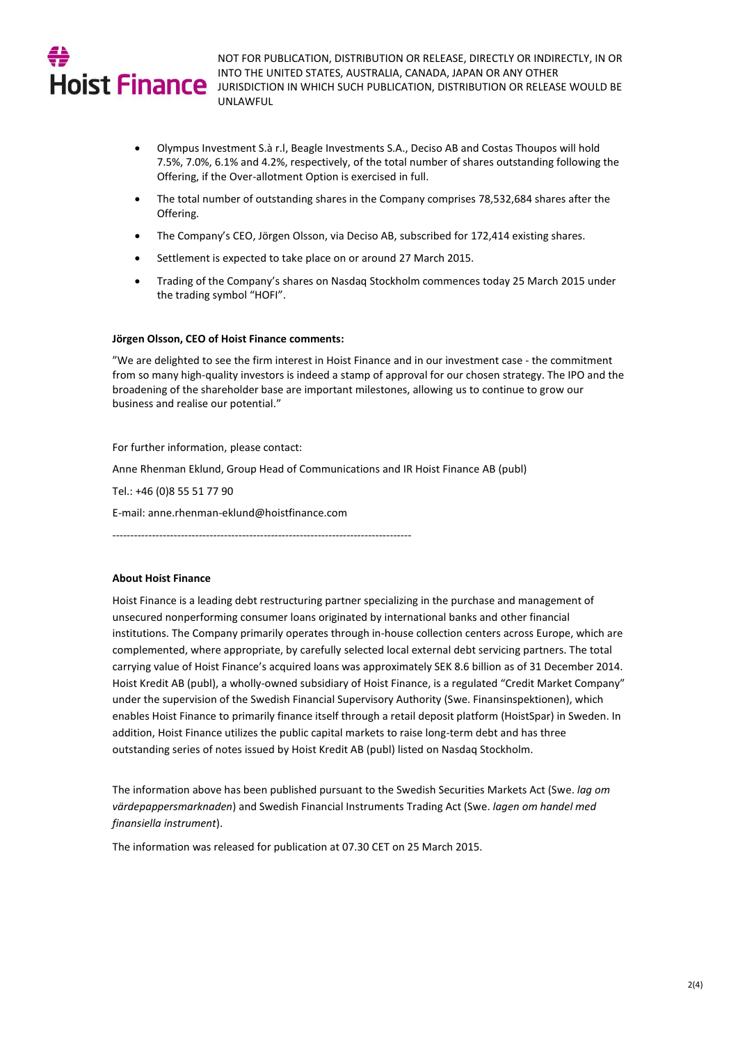

NOT FOR PUBLICATION, DISTRIBUTION OR RELEASE, DIRECTLY OR INDIRECTLY, IN OR INTO THE UNITED STATES, AUSTRALIA, CANADA, JAPAN OR ANY OTHER HOIST Finance INTO THE UNITED STATES, AUSTRALIA, CANADA, JAPAN OR ANY OTHER<br>HOIST Finance JURISDICTION IN WHICH SUCH PUBLICATION, DISTRIBUTION OR RELEASE WOULD BE UNLAWFUL

- Olympus Investment S.à r.l, Beagle Investments S.A., Deciso AB and Costas Thoupos will hold 7.5%, 7.0%, 6.1% and 4.2%, respectively, of the total number of shares outstanding following the Offering, if the Over-allotment Option is exercised in full.
- The total number of outstanding shares in the Company comprises 78,532,684 shares after the Offering.
- The Company's CEO, Jörgen Olsson, via Deciso AB, subscribed for 172,414 existing shares.
- Settlement is expected to take place on or around 27 March 2015.
- Trading of the Company's shares on Nasdaq Stockholm commences today 25 March 2015 under the trading symbol "HOFI".

#### **Jörgen Olsson, CEO of Hoist Finance comments:**

"We are delighted to see the firm interest in Hoist Finance and in our investment case - the commitment from so many high-quality investors is indeed a stamp of approval for our chosen strategy. The IPO and the broadening of the shareholder base are important milestones, allowing us to continue to grow our business and realise our potential."

For further information, please contact:

Anne Rhenman Eklund, Group Head of Communications and IR Hoist Finance AB (publ)

Tel.: +46 (0)8 55 51 77 90

E-mail[: anne.rhenman-eklund@hoistfinance.com](mailto:anne.rhenman-eklund@hoistfinance.com)

-----------------------------------------------------------------------------------

#### **About Hoist Finance**

Hoist Finance is a leading debt restructuring partner specializing in the purchase and management of unsecured nonperforming consumer loans originated by international banks and other financial institutions. The Company primarily operates through in-house collection centers across Europe, which are complemented, where appropriate, by carefully selected local external debt servicing partners. The total carrying value of Hoist Finance's acquired loans was approximately SEK 8.6 billion as of 31 December 2014. Hoist Kredit AB (publ), a wholly-owned subsidiary of Hoist Finance, is a regulated "Credit Market Company" under the supervision of the Swedish Financial Supervisory Authority (Swe. Finansinspektionen), which enables Hoist Finance to primarily finance itself through a retail deposit platform (HoistSpar) in Sweden. In addition, Hoist Finance utilizes the public capital markets to raise long-term debt and has three outstanding series of notes issued by Hoist Kredit AB (publ) listed on Nasdaq Stockholm.

The information above has been published pursuant to the Swedish Securities Markets Act (Swe. *lag om värdepappersmarknaden*) and Swedish Financial Instruments Trading Act (Swe. *lagen om handel med finansiella instrument*).

The information was released for publication at 07.30 CET on 25 March 2015.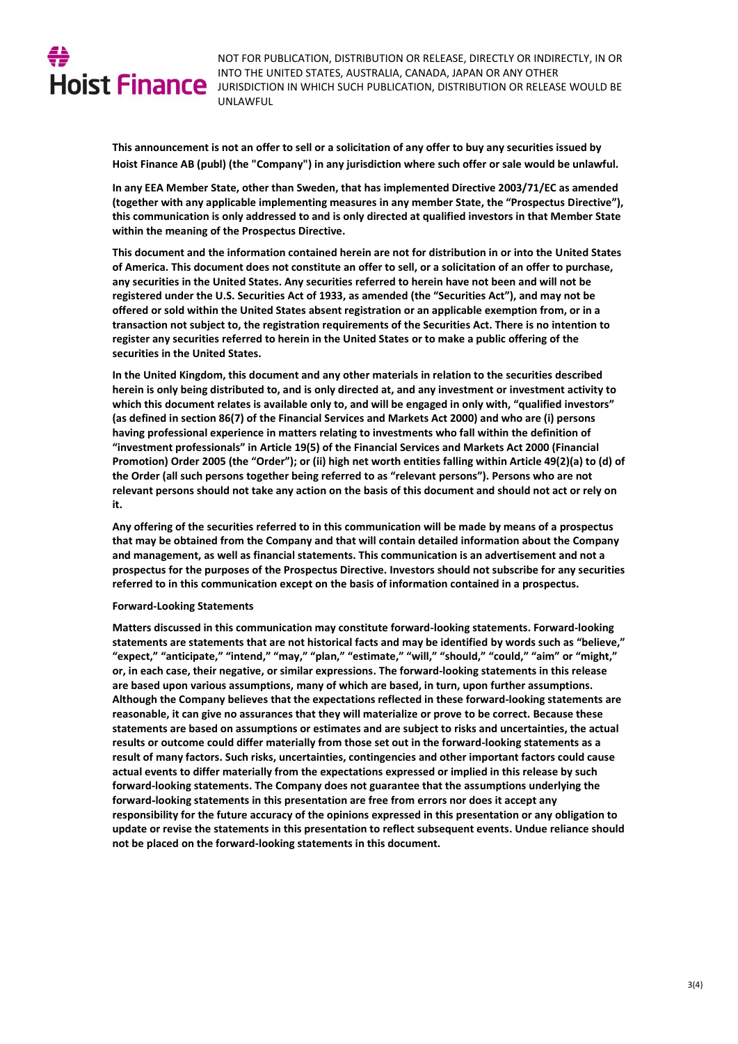

NOT FOR PUBLICATION, DISTRIBUTION OR RELEASE, DIRECTLY OR INDIRECTLY, IN OR INTO THE UNITED STATES, AUSTRALIA, CANADA, JAPAN OR ANY OTHER HOIST Finance INTO THE UNITED STATES, AUSTRALIA, CANADA, JAPAN OR ANY OTHER<br>HOIST Finance JURISDICTION IN WHICH SUCH PUBLICATION, DISTRIBUTION OR RELEASE WOULD BE UNLAWFUL

> **This announcement is not an offer to sell or a solicitation of any offer to buy any securities issued by Hoist Finance AB (publ) (the "Company") in any jurisdiction where such offer or sale would be unlawful.**

> **In any EEA Member State, other than Sweden, that has implemented Directive 2003/71/EC as amended (together with any applicable implementing measures in any member State, the "Prospectus Directive"), this communication is only addressed to and is only directed at qualified investors in that Member State within the meaning of the Prospectus Directive.**

> **This document and the information contained herein are not for distribution in or into the United States of America. This document does not constitute an offer to sell, or a solicitation of an offer to purchase, any securities in the United States. Any securities referred to herein have not been and will not be registered under the U.S. Securities Act of 1933, as amended (the "Securities Act"), and may not be offered or sold within the United States absent registration or an applicable exemption from, or in a transaction not subject to, the registration requirements of the Securities Act. There is no intention to register any securities referred to herein in the United States or to make a public offering of the securities in the United States.**

> **In the United Kingdom, this document and any other materials in relation to the securities described herein is only being distributed to, and is only directed at, and any investment or investment activity to which this document relates is available only to, and will be engaged in only with, "qualified investors" (as defined in section 86(7) of the Financial Services and Markets Act 2000) and who are (i) persons having professional experience in matters relating to investments who fall within the definition of "investment professionals" in Article 19(5) of the Financial Services and Markets Act 2000 (Financial Promotion) Order 2005 (the "Order"); or (ii) high net worth entities falling within Article 49(2)(a) to (d) of the Order (all such persons together being referred to as "relevant persons"). Persons who are not relevant persons should not take any action on the basis of this document and should not act or rely on it.**

> **Any offering of the securities referred to in this communication will be made by means of a prospectus that may be obtained from the Company and that will contain detailed information about the Company and management, as well as financial statements. This communication is an advertisement and not a prospectus for the purposes of the Prospectus Directive. Investors should not subscribe for any securities referred to in this communication except on the basis of information contained in a prospectus.**

#### **Forward-Looking Statements**

**Matters discussed in this communication may constitute forward-looking statements. Forward-looking statements are statements that are not historical facts and may be identified by words such as "believe," "expect," "anticipate," "intend," "may," "plan," "estimate," "will," "should," "could," "aim" or "might," or, in each case, their negative, or similar expressions. The forward-looking statements in this release are based upon various assumptions, many of which are based, in turn, upon further assumptions. Although the Company believes that the expectations reflected in these forward-looking statements are reasonable, it can give no assurances that they will materialize or prove to be correct. Because these statements are based on assumptions or estimates and are subject to risks and uncertainties, the actual results or outcome could differ materially from those set out in the forward-looking statements as a result of many factors. Such risks, uncertainties, contingencies and other important factors could cause actual events to differ materially from the expectations expressed or implied in this release by such forward-looking statements. The Company does not guarantee that the assumptions underlying the forward**‐**looking statements in this presentation are free from errors nor does it accept any responsibility for the future accuracy of the opinions expressed in this presentation or any obligation to update or revise the statements in this presentation to reflect subsequent events. Undue reliance should not be placed on the forward-looking statements in this document.**